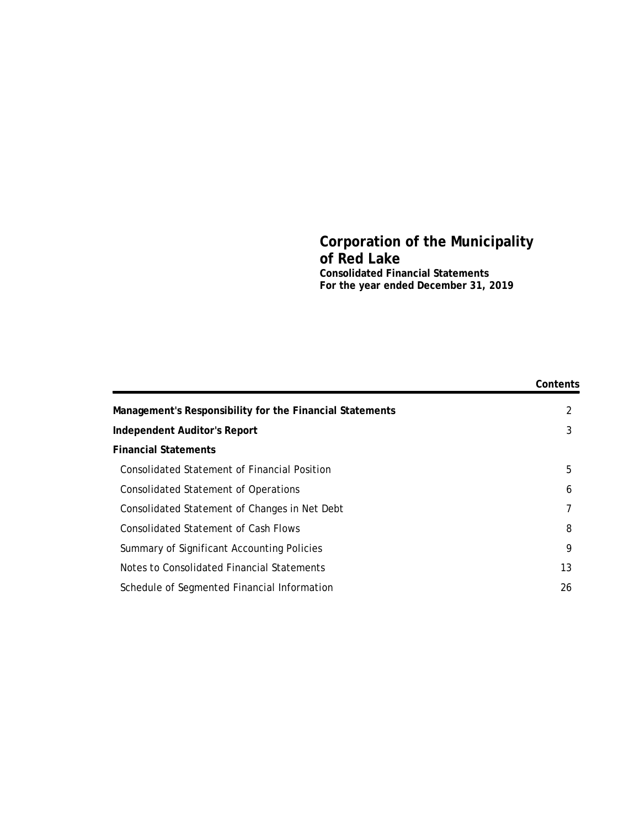## **Corporation of the Municipality of Red Lake Consolidated Financial Statements For the year ended December 31, 2019**

|                                                          | Contents |
|----------------------------------------------------------|----------|
| Management's Responsibility for the Financial Statements | 2        |
| Independent Auditor's Report                             | 3        |
| <b>Financial Statements</b>                              |          |
| Consolidated Statement of Financial Position             | 5        |
| Consolidated Statement of Operations                     | 6        |
| Consolidated Statement of Changes in Net Debt            |          |
| Consolidated Statement of Cash Flows                     | 8        |
| Summary of Significant Accounting Policies               | 9        |
| Notes to Consolidated Financial Statements               | 13       |
| Schedule of Segmented Financial Information              | 26       |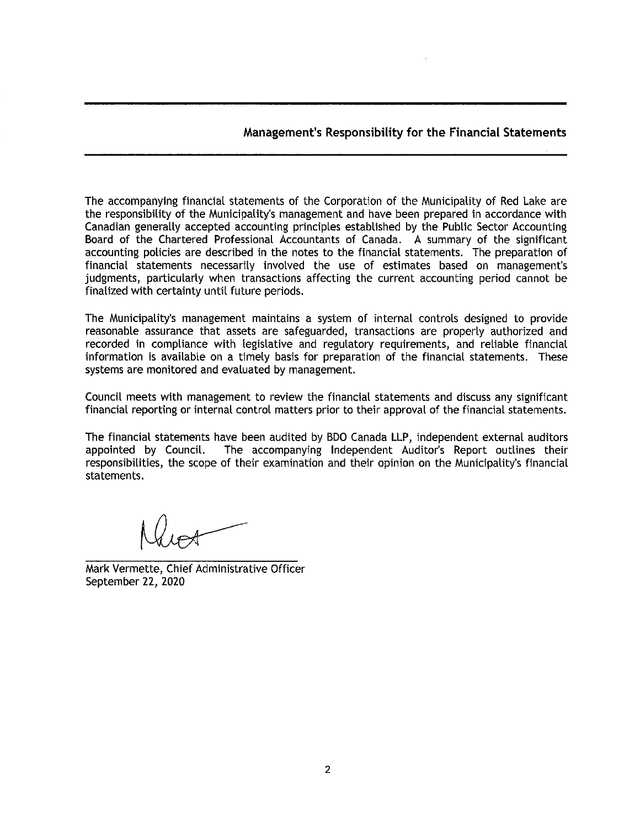## Management's Responsibility for the Financial Statements

The accompanying financial statements of the Corporation of the Municipality of Red Lake are the responsibility of the Municipality's management and have been prepared in accordance with Canadian generally accepted accounting principles established by the Public Sector Accounting Board of the Chartered Professional Accountants of Canada. A summary of the significant accounting policies are described in the notes to the financial statements. The preparation of financial statements necessarily involved the use of estimates based on management's judgments, particularly when transactions affecting the current accounting period cannot be finalized with certainty until future periods.

The Municipality's management maintains a system of internal controls designed to provide reasonable assurance that assets are safeguarded, transactions are properly authorized and recorded in compliance with legislative and regulatory requirements, and reliable financial information is available on a timely basis for preparation of the financial statements. These systems are monitored and evaluated by management.

Council meets with management to review the financial statements and discuss any significant financial reporting or internal control matters prior to their approval of the financial statements.

The financial statements have been audited by BDO Canada LLP, independent external auditors The accompanying Independent Auditor's Report outlines their appointed by Council. responsibilities, the scope of their examination and their opinion on the Municipality's financial statements.

Mark Vermette, Chief Administrative Officer September 22, 2020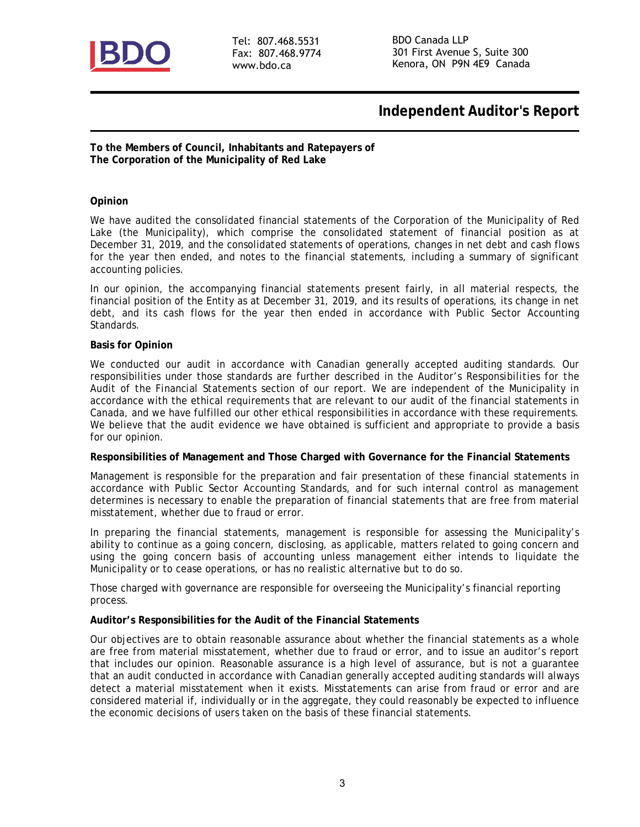

Tel: 807.468.5531 Fax: 807.468.9774 www.bdo.ca

BDO Canada LLP 301 First Avenue S, Suite 300 Kenora, ON P9N 4E9 Canada

## **Independent Auditor's Report**

**To the Members of Council, Inhabitants and Ratepayers of The Corporation of the Municipality of Red Lake**

#### **Opinion**

We have audited the consolidated financial statements of the Corporation of the Municipality of Red Lake (the Municipality), which comprise the consolidated statement of financial position as at December 31, 2019, and the consolidated statements of operations, changes in net debt and cash flows for the year then ended, and notes to the financial statements, including a summary of significant accounting policies.

In our opinion, the accompanying financial statements present fairly, in all material respects, the financial position of the Entity as at December 31, 2019, and its results of operations, its change in net debt, and its cash flows for the year then ended in accordance with Public Sector Accounting Standards.

#### **Basis for Opinion**

We conducted our audit in accordance with Canadian generally accepted auditing standards. Our responsibilities under those standards are further described in the *Auditor's Responsibilities for the Audit of the Financial Statements* section of our report. We are independent of the Municipality in accordance with the ethical requirements that are relevant to our audit of the financial statements in Canada, and we have fulfilled our other ethical responsibilities in accordance with these requirements. We believe that the audit evidence we have obtained is sufficient and appropriate to provide a basis for our opinion.

#### **Responsibilities of Management and Those Charged with Governance for the Financial Statements**

Management is responsible for the preparation and fair presentation of these financial statements in accordance with Public Sector Accounting Standards, and for such internal control as management determines is necessary to enable the preparation of financial statements that are free from material misstatement, whether due to fraud or error.

In preparing the financial statements, management is responsible for assessing the Municipality's ability to continue as a going concern, disclosing, as applicable, matters related to going concern and using the going concern basis of accounting unless management either intends to liquidate the Municipality or to cease operations, or has no realistic alternative but to do so.

Those charged with governance are responsible for overseeing the Municipality's financial reporting process.

#### **Auditor's Responsibilities for the Audit of the Financial Statements**

Our objectives are to obtain reasonable assurance about whether the financial statements as a whole are free from material misstatement, whether due to fraud or error, and to issue an auditor's report that includes our opinion. Reasonable assurance is a high level of assurance, but is not a guarantee that an audit conducted in accordance with Canadian generally accepted auditing standards will always detect a material misstatement when it exists. Misstatements can arise from fraud or error and are considered material if, individually or in the aggregate, they could reasonably be expected to influence the economic decisions of users taken on the basis of these financial statements.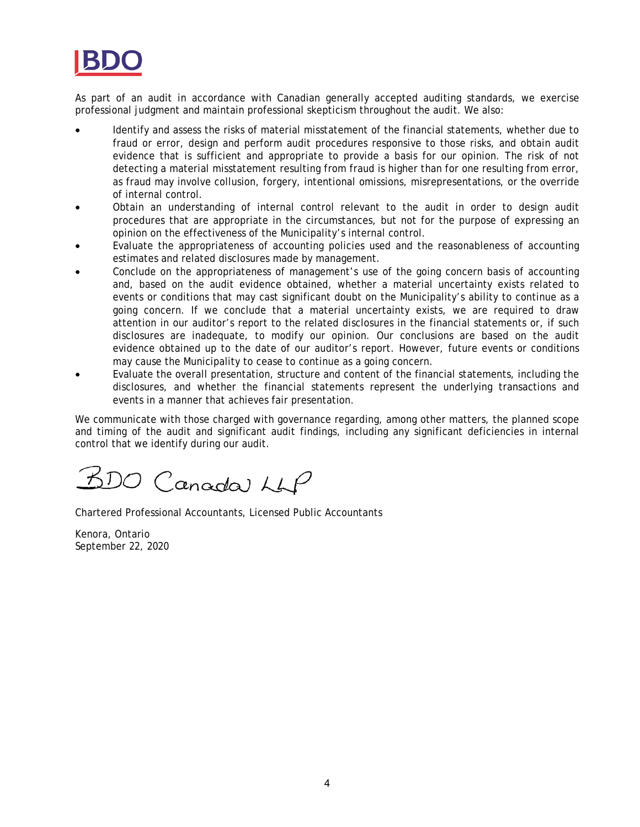

As part of an audit in accordance with Canadian generally accepted auditing standards, we exercise professional judgment and maintain professional skepticism throughout the audit. We also:

- Identify and assess the risks of material misstatement of the financial statements, whether due to fraud or error, design and perform audit procedures responsive to those risks, and obtain audit evidence that is sufficient and appropriate to provide a basis for our opinion. The risk of not detecting a material misstatement resulting from fraud is higher than for one resulting from error, as fraud may involve collusion, forgery, intentional omissions, misrepresentations, or the override of internal control.
- Obtain an understanding of internal control relevant to the audit in order to design audit procedures that are appropriate in the circumstances, but not for the purpose of expressing an opinion on the effectiveness of the Municipality's internal control.
- Evaluate the appropriateness of accounting policies used and the reasonableness of accounting estimates and related disclosures made by management.
- Conclude on the appropriateness of management's use of the going concern basis of accounting and, based on the audit evidence obtained, whether a material uncertainty exists related to events or conditions that may cast significant doubt on the Municipality's ability to continue as a going concern. If we conclude that a material uncertainty exists, we are required to draw attention in our auditor's report to the related disclosures in the financial statements or, if such disclosures are inadequate, to modify our opinion. Our conclusions are based on the audit evidence obtained up to the date of our auditor's report. However, future events or conditions may cause the Municipality to cease to continue as a going concern.
- Evaluate the overall presentation, structure and content of the financial statements, including the disclosures, and whether the financial statements represent the underlying transactions and events in a manner that achieves fair presentation.

We communicate with those charged with governance regarding, among other matters, the planned scope and timing of the audit and significant audit findings, including any significant deficiencies in internal control that we identify during our audit.

 $BDO$  Canada)  $\mathcal{LP}$ 

Chartered Professional Accountants, Licensed Public Accountants

Kenora, Ontario September 22, 2020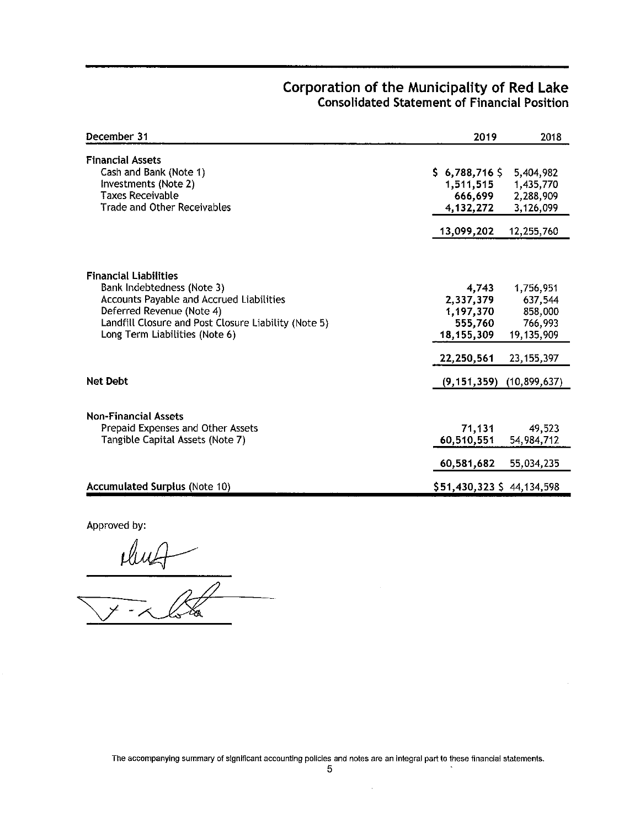# **Corporation of the Municipality of Red Lake<br>Consolidated Statement of Financial Position**

| December 31                                                | 2019                       | 2018           |
|------------------------------------------------------------|----------------------------|----------------|
| <b>Financial Assets</b>                                    |                            |                |
| Cash and Bank (Note 1)                                     | \$6,788,7165               | 5,404,982      |
| Investments (Note 2)<br><b>Taxes Receivable</b>            | 1,511,515                  | 1,435,770      |
| <b>Trade and Other Receivables</b>                         | 666,699                    | 2,288,909      |
|                                                            | 4,132,272                  | 3,126,099      |
|                                                            | 13,099,202                 | 12,255,760     |
|                                                            |                            |                |
| <b>Financial Liabilities</b><br>Bank Indebtedness (Note 3) | 4,743                      | 1,756,951      |
| Accounts Payable and Accrued Liabilities                   | 2,337,379                  | 637,544        |
| Deferred Revenue (Note 4)                                  | 1,197,370                  | 858,000        |
| Landfill Closure and Post Closure Liability (Note 5)       | 555,760                    | 766,993        |
| Long Term Liabilities (Note 6)                             | 18,155,309                 | 19,135,909     |
|                                                            | 22,250,561                 | 23, 155, 397   |
| <b>Net Debt</b>                                            | (9, 151, 359)              | (10, 899, 637) |
|                                                            |                            |                |
| <b>Non-Financial Assets</b>                                |                            |                |
| Prepaid Expenses and Other Assets                          | 71,131                     | 49,523         |
| Tangible Capital Assets (Note 7)                           | 60,510,551                 | 54,984,712     |
|                                                            | 60,581,682                 | 55,034,235     |
| <b>Accumulated Surplus (Note 10)</b>                       | $$51,430,323$ \$44,134,598 |                |

Approved by:

The accompanying summary of significant accounting policies and notes are an integral part to these financial statements.

 $\overline{5}$ 

 $\bar{\mathcal{A}}$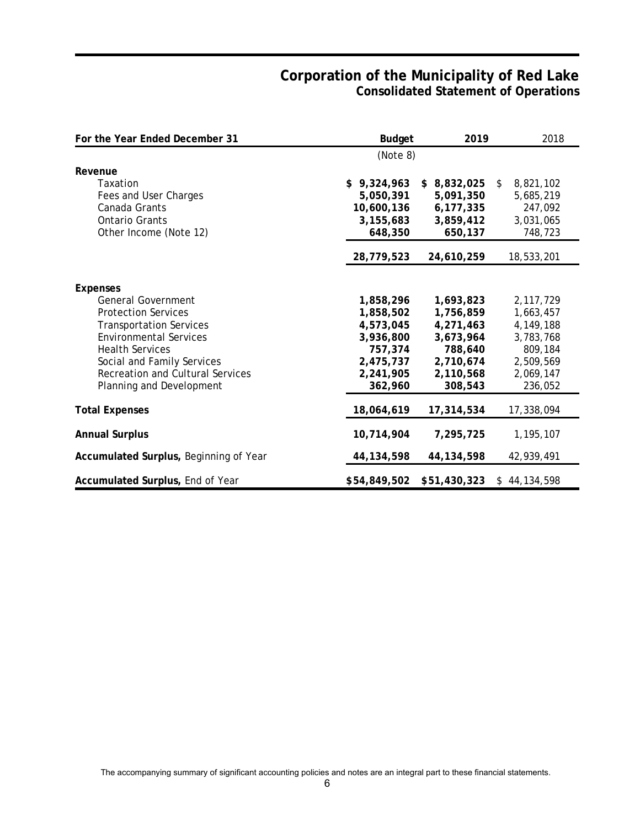## **Corporation of the Municipality of Red Lake Consolidated Statement of Operations**

| For the Year Ended December 31          | <b>Budget</b> | 2019         | 2018            |
|-----------------------------------------|---------------|--------------|-----------------|
|                                         | (Note 8)      |              |                 |
| Revenue                                 |               |              |                 |
| Taxation                                | \$9,324,963   | \$8,832,025  | 8,821,102<br>\$ |
| Fees and User Charges                   | 5,050,391     | 5,091,350    | 5,685,219       |
| Canada Grants                           | 10,600,136    | 6,177,335    | 247,092         |
| <b>Ontario Grants</b>                   | 3,155,683     | 3,859,412    | 3,031,065       |
| Other Income (Note 12)                  | 648,350       | 650,137      | 748,723         |
|                                         | 28,779,523    | 24,610,259   | 18,533,201      |
|                                         |               |              |                 |
| <b>Expenses</b>                         |               |              |                 |
| General Government                      | 1,858,296     | 1,693,823    | 2,117,729       |
| <b>Protection Services</b>              | 1,858,502     | 1,756,859    | 1,663,457       |
| <b>Transportation Services</b>          | 4,573,045     | 4,271,463    | 4,149,188       |
| <b>Environmental Services</b>           | 3,936,800     | 3,673,964    | 3,783,768       |
| <b>Health Services</b>                  | 757,374       | 788,640      | 809,184         |
| Social and Family Services              | 2,475,737     | 2,710,674    | 2,509,569       |
| <b>Recreation and Cultural Services</b> | 2,241,905     | 2,110,568    | 2,069,147       |
| Planning and Development                | 362,960       | 308,543      | 236,052         |
| <b>Total Expenses</b>                   | 18,064,619    | 17,314,534   | 17,338,094      |
| <b>Annual Surplus</b>                   | 10,714,904    | 7,295,725    | 1,195,107       |
| Accumulated Surplus, Beginning of Year  | 44, 134, 598  | 44, 134, 598 | 42,939,491      |
| Accumulated Surplus, End of Year        | \$54,849,502  | \$51,430,323 | \$44,134,598    |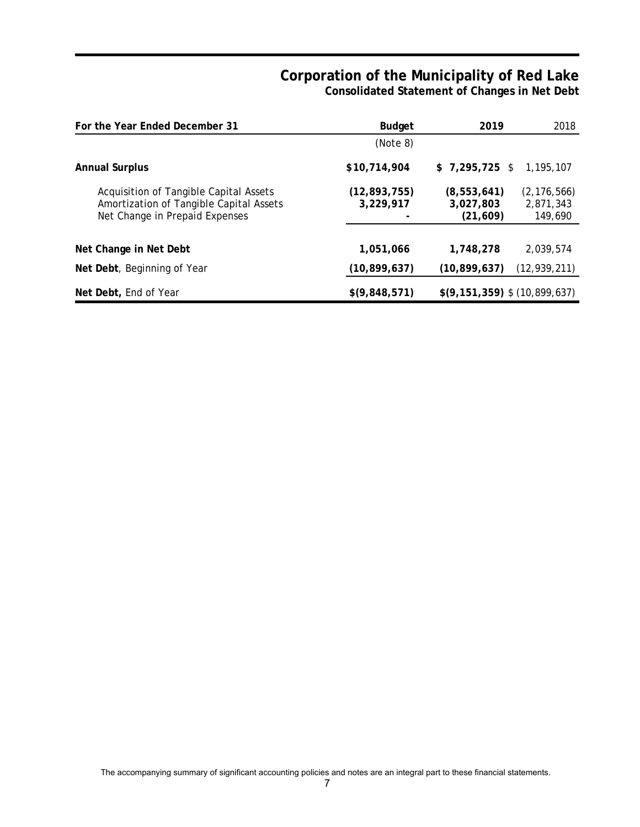## **Corporation of the Municipality of Red Lake**

**Consolidated Statement of Changes in Net Debt**

| For the Year Ended December 31                                                                                      | <b>Budget</b>               | 2019                                   | 2018                                  |
|---------------------------------------------------------------------------------------------------------------------|-----------------------------|----------------------------------------|---------------------------------------|
|                                                                                                                     | (Note 8)                    |                                        |                                       |
| <b>Annual Surplus</b>                                                                                               | \$10,714,904                | $$7,295,725$ \$                        | 1,195,107                             |
| Acquisition of Tangible Capital Assets<br>Amortization of Tangible Capital Assets<br>Net Change in Prepaid Expenses | (12, 893, 755)<br>3,229,917 | (8, 553, 641)<br>3,027,803<br>(21,609) | (2, 176, 566)<br>2,871,343<br>149,690 |
| Net Change in Net Debt<br>Net Debt, Beginning of Year                                                               | 1,051,066<br>(10, 899, 637) | 1,748,278<br>(10, 899, 637)            | 2.039.574<br>(12, 939, 211)           |
| Net Debt, End of Year                                                                                               | \$(9,848,571)               | $$(9,151,359)$ $$(10,899,637)$         |                                       |

The accompanying summary of significant accounting policies and notes are an integral part to these financial statements.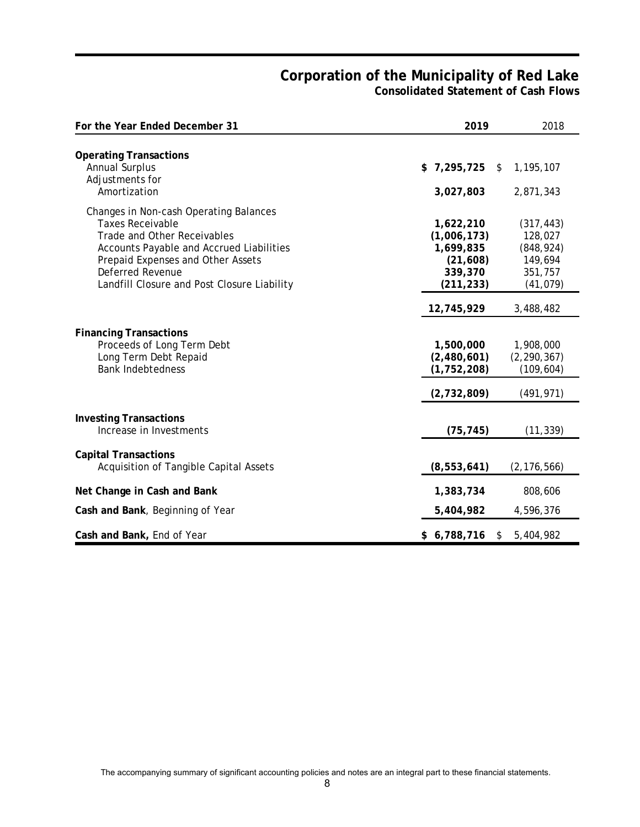## **Corporation of the Municipality of Red Lake**

**Consolidated Statement of Cash Flows**

| For the Year Ended December 31                                                                                                                                                                                                                       | 2019                                                                        | 2018                                                                   |
|------------------------------------------------------------------------------------------------------------------------------------------------------------------------------------------------------------------------------------------------------|-----------------------------------------------------------------------------|------------------------------------------------------------------------|
| <b>Operating Transactions</b><br>Annual Surplus<br>Adjustments for<br>Amortization                                                                                                                                                                   | \$7,295,725<br>\$<br>3,027,803                                              | 1,195,107<br>2,871,343                                                 |
| Changes in Non-cash Operating Balances<br><b>Taxes Receivable</b><br>Trade and Other Receivables<br>Accounts Payable and Accrued Liabilities<br>Prepaid Expenses and Other Assets<br>Deferred Revenue<br>Landfill Closure and Post Closure Liability | 1,622,210<br>(1,006,173)<br>1,699,835<br>(21, 608)<br>339,370<br>(211, 233) | (317, 443)<br>128,027<br>(848, 924)<br>149,694<br>351,757<br>(41, 079) |
|                                                                                                                                                                                                                                                      | 12,745,929                                                                  | 3,488,482                                                              |
| <b>Financing Transactions</b><br>Proceeds of Long Term Debt<br>Long Term Debt Repaid<br><b>Bank Indebtedness</b>                                                                                                                                     | 1,500,000<br>(2,480,601)<br>(1, 752, 208)<br>(2,732,809)                    | 1,908,000<br>(2, 290, 367)<br>(109, 604)<br>(491, 971)                 |
| <b>Investing Transactions</b><br>Increase in Investments                                                                                                                                                                                             | (75, 745)                                                                   | (11, 339)                                                              |
| <b>Capital Transactions</b><br>Acquisition of Tangible Capital Assets                                                                                                                                                                                | (8, 553, 641)                                                               | (2, 176, 566)                                                          |
| Net Change in Cash and Bank                                                                                                                                                                                                                          | 1,383,734                                                                   | 808,606                                                                |
| Cash and Bank, Beginning of Year                                                                                                                                                                                                                     | 5,404,982                                                                   | 4,596,376                                                              |
| Cash and Bank, End of Year                                                                                                                                                                                                                           | \$6,788,716<br>\$                                                           | 5,404,982                                                              |

The accompanying summary of significant accounting policies and notes are an integral part to these financial statements.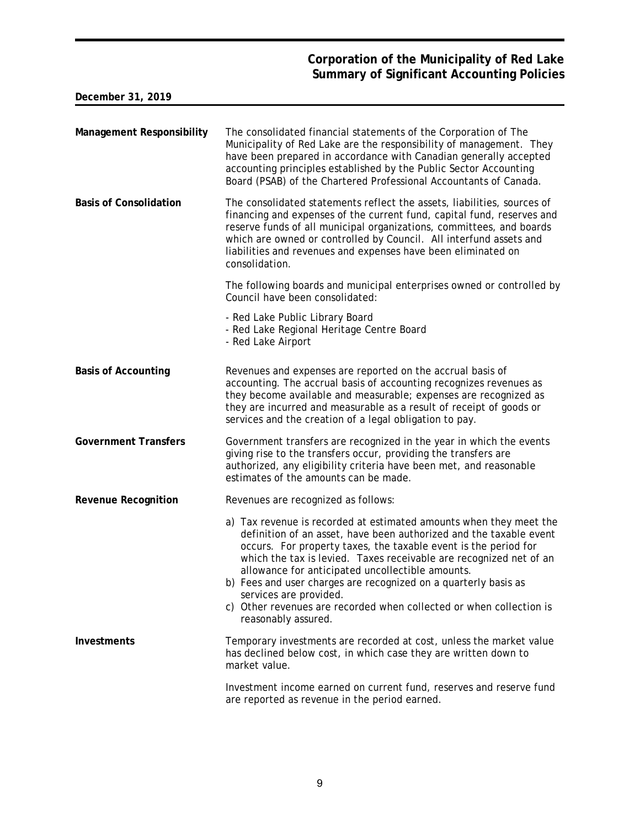| <b>Management Responsibility</b> | The consolidated financial statements of the Corporation of The<br>Municipality of Red Lake are the responsibility of management. They<br>have been prepared in accordance with Canadian generally accepted<br>accounting principles established by the Public Sector Accounting<br>Board (PSAB) of the Chartered Professional Accountants of Canada.                                                                                                                                                                            |
|----------------------------------|----------------------------------------------------------------------------------------------------------------------------------------------------------------------------------------------------------------------------------------------------------------------------------------------------------------------------------------------------------------------------------------------------------------------------------------------------------------------------------------------------------------------------------|
| <b>Basis of Consolidation</b>    | The consolidated statements reflect the assets, liabilities, sources of<br>financing and expenses of the current fund, capital fund, reserves and<br>reserve funds of all municipal organizations, committees, and boards<br>which are owned or controlled by Council. All interfund assets and<br>liabilities and revenues and expenses have been eliminated on<br>consolidation.                                                                                                                                               |
|                                  | The following boards and municipal enterprises owned or controlled by<br>Council have been consolidated:                                                                                                                                                                                                                                                                                                                                                                                                                         |
|                                  | - Red Lake Public Library Board<br>- Red Lake Regional Heritage Centre Board<br>- Red Lake Airport                                                                                                                                                                                                                                                                                                                                                                                                                               |
| <b>Basis of Accounting</b>       | Revenues and expenses are reported on the accrual basis of<br>accounting. The accrual basis of accounting recognizes revenues as<br>they become available and measurable; expenses are recognized as<br>they are incurred and measurable as a result of receipt of goods or<br>services and the creation of a legal obligation to pay.                                                                                                                                                                                           |
| <b>Government Transfers</b>      | Government transfers are recognized in the year in which the events<br>giving rise to the transfers occur, providing the transfers are<br>authorized, any eligibility criteria have been met, and reasonable<br>estimates of the amounts can be made.                                                                                                                                                                                                                                                                            |
| <b>Revenue Recognition</b>       | Revenues are recognized as follows:                                                                                                                                                                                                                                                                                                                                                                                                                                                                                              |
|                                  | a) Tax revenue is recorded at estimated amounts when they meet the<br>definition of an asset, have been authorized and the taxable event<br>occurs. For property taxes, the taxable event is the period for<br>which the tax is levied. Taxes receivable are recognized net of an<br>allowance for anticipated uncollectible amounts.<br>b) Fees and user charges are recognized on a quarterly basis as<br>services are provided.<br>c) Other revenues are recorded when collected or when collection is<br>reasonably assured. |
| <b>Investments</b>               | Temporary investments are recorded at cost, unless the market value<br>has declined below cost, in which case they are written down to<br>market value.                                                                                                                                                                                                                                                                                                                                                                          |
|                                  | Investment income earned on current fund, reserves and reserve fund<br>are reported as revenue in the period earned.                                                                                                                                                                                                                                                                                                                                                                                                             |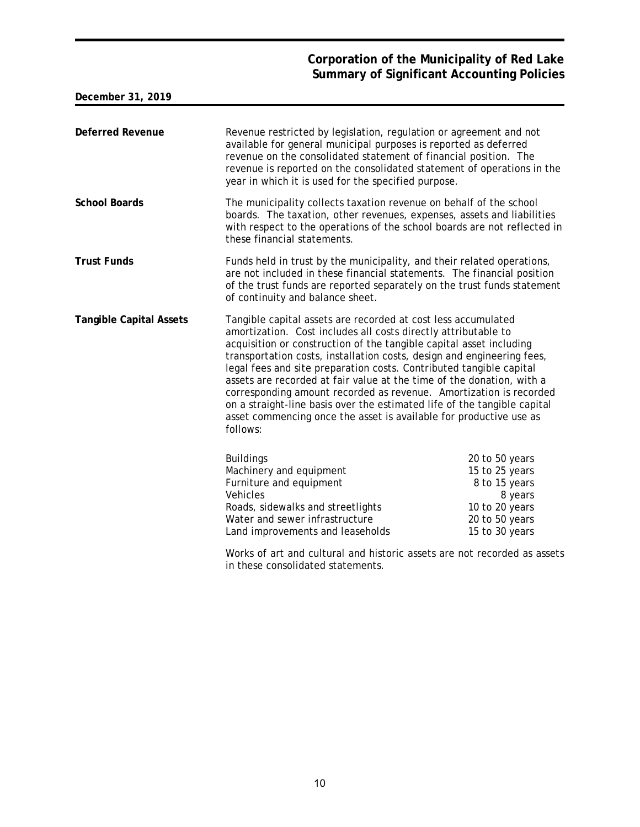## **Corporation of the Municipality of Red Lake Summary of Significant Accounting Policies**

**December 31, 2019**

| <b>Deferred Revenue</b>        | Revenue restricted by legislation, regulation or agreement and not<br>available for general municipal purposes is reported as deferred<br>revenue on the consolidated statement of financial position. The<br>revenue is reported on the consolidated statement of operations in the<br>year in which it is used for the specified purpose.                                                                                                                                                                                                                                                                                                                          |                                                                                                                    |  |  |
|--------------------------------|----------------------------------------------------------------------------------------------------------------------------------------------------------------------------------------------------------------------------------------------------------------------------------------------------------------------------------------------------------------------------------------------------------------------------------------------------------------------------------------------------------------------------------------------------------------------------------------------------------------------------------------------------------------------|--------------------------------------------------------------------------------------------------------------------|--|--|
| <b>School Boards</b>           | The municipality collects taxation revenue on behalf of the school<br>boards. The taxation, other revenues, expenses, assets and liabilities<br>with respect to the operations of the school boards are not reflected in<br>these financial statements.                                                                                                                                                                                                                                                                                                                                                                                                              |                                                                                                                    |  |  |
| <b>Trust Funds</b>             | Funds held in trust by the municipality, and their related operations,<br>are not included in these financial statements. The financial position<br>of the trust funds are reported separately on the trust funds statement<br>of continuity and balance sheet.                                                                                                                                                                                                                                                                                                                                                                                                      |                                                                                                                    |  |  |
| <b>Tangible Capital Assets</b> | Tangible capital assets are recorded at cost less accumulated<br>amortization. Cost includes all costs directly attributable to<br>acquisition or construction of the tangible capital asset including<br>transportation costs, installation costs, design and engineering fees,<br>legal fees and site preparation costs. Contributed tangible capital<br>assets are recorded at fair value at the time of the donation, with a<br>corresponding amount recorded as revenue. Amortization is recorded<br>on a straight-line basis over the estimated life of the tangible capital<br>asset commencing once the asset is available for productive use as<br>follows: |                                                                                                                    |  |  |
|                                | <b>Buildings</b><br>Machinery and equipment<br>Furniture and equipment<br>Vehicles<br>Roads, sidewalks and streetlights<br>Water and sewer infrastructure<br>Land improvements and leaseholds                                                                                                                                                                                                                                                                                                                                                                                                                                                                        | 20 to 50 years<br>15 to 25 years<br>8 to 15 years<br>8 years<br>10 to 20 years<br>20 to 50 years<br>15 to 30 years |  |  |
|                                | Warks of art and outural and bistoria essats are not recorded as essats                                                                                                                                                                                                                                                                                                                                                                                                                                                                                                                                                                                              |                                                                                                                    |  |  |

Works of art and cultural and historic assets are not recorded as assets in these consolidated statements.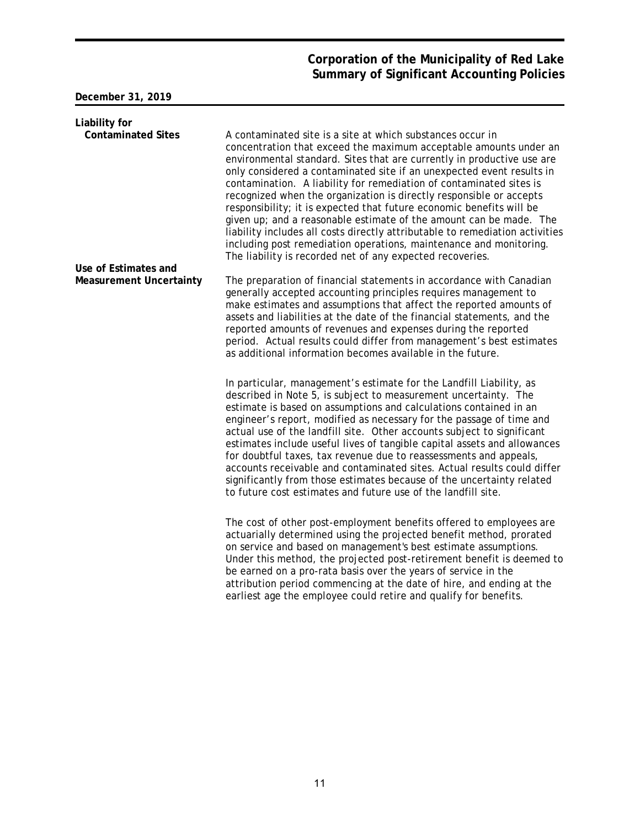| Liability for                  |                                                                                                                                                                                                                                                                                                                                                                                                                                                                                                                                                                                                                                                                                                                                                                                                   |
|--------------------------------|---------------------------------------------------------------------------------------------------------------------------------------------------------------------------------------------------------------------------------------------------------------------------------------------------------------------------------------------------------------------------------------------------------------------------------------------------------------------------------------------------------------------------------------------------------------------------------------------------------------------------------------------------------------------------------------------------------------------------------------------------------------------------------------------------|
| <b>Contaminated Sites</b>      | A contaminated site is a site at which substances occur in<br>concentration that exceed the maximum acceptable amounts under an<br>environmental standard. Sites that are currently in productive use are<br>only considered a contaminated site if an unexpected event results in<br>contamination. A liability for remediation of contaminated sites is<br>recognized when the organization is directly responsible or accepts<br>responsibility; it is expected that future economic benefits will be<br>given up; and a reasonable estimate of the amount can be made. The<br>liability includes all costs directly attributable to remediation activities<br>including post remediation operations, maintenance and monitoring.<br>The liability is recorded net of any expected recoveries. |
| Use of Estimates and           |                                                                                                                                                                                                                                                                                                                                                                                                                                                                                                                                                                                                                                                                                                                                                                                                   |
| <b>Measurement Uncertainty</b> | The preparation of financial statements in accordance with Canadian<br>generally accepted accounting principles requires management to<br>make estimates and assumptions that affect the reported amounts of<br>assets and liabilities at the date of the financial statements, and the<br>reported amounts of revenues and expenses during the reported<br>period. Actual results could differ from management's best estimates<br>as additional information becomes available in the future.                                                                                                                                                                                                                                                                                                    |
|                                | In particular, management's estimate for the Landfill Liability, as<br>described in Note 5, is subject to measurement uncertainty. The<br>estimate is based on assumptions and calculations contained in an<br>engineer's report, modified as necessary for the passage of time and<br>actual use of the landfill site. Other accounts subject to significant<br>estimates include useful lives of tangible capital assets and allowances<br>for doubtful taxes, tax revenue due to reassessments and appeals,<br>accounts receivable and contaminated sites. Actual results could differ<br>significantly from those estimates because of the uncertainty related<br>to future cost estimates and future use of the landfill site.                                                               |
|                                | The cost of other post-employment benefits offered to employees are<br>actuarially determined using the projected benefit method, prorated<br>on service and based on management's best estimate assumptions.<br>Under this method, the projected post-retirement benefit is deemed to<br>be earned on a pro-rata basis over the years of service in the<br>attribution period commencing at the date of hire, and ending at the                                                                                                                                                                                                                                                                                                                                                                  |

earliest age the employee could retire and qualify for benefits.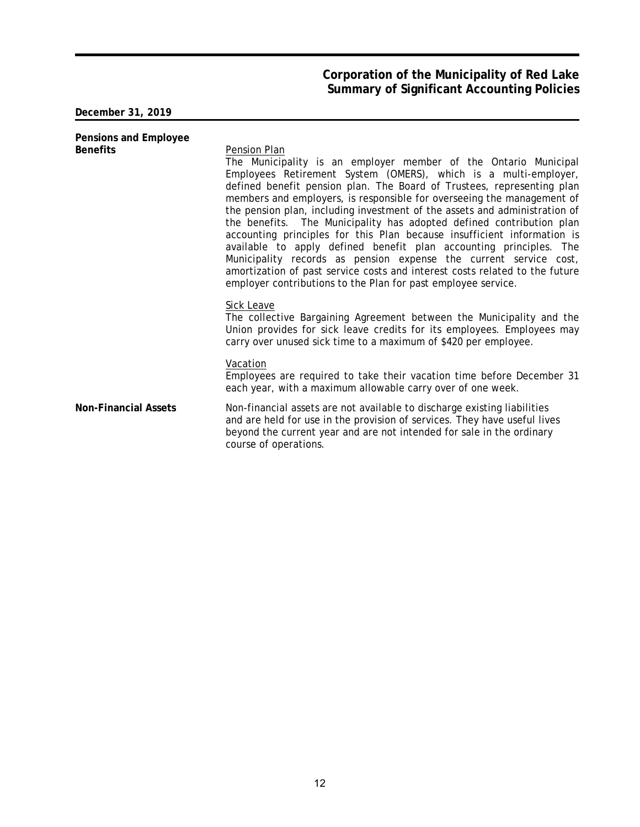| Pensions and Employee       |                                                                                                                                                                                                                                                                                                                                                                                                                                                                                                                                                                                                                                                                                                                                                                                                                                    |
|-----------------------------|------------------------------------------------------------------------------------------------------------------------------------------------------------------------------------------------------------------------------------------------------------------------------------------------------------------------------------------------------------------------------------------------------------------------------------------------------------------------------------------------------------------------------------------------------------------------------------------------------------------------------------------------------------------------------------------------------------------------------------------------------------------------------------------------------------------------------------|
| <b>Benefits</b>             | Pension Plan<br>The Municipality is an employer member of the Ontario Municipal<br>Employees Retirement System (OMERS), which is a multi-employer,<br>defined benefit pension plan. The Board of Trustees, representing plan<br>members and employers, is responsible for overseeing the management of<br>the pension plan, including investment of the assets and administration of<br>the benefits. The Municipality has adopted defined contribution plan<br>accounting principles for this Plan because insufficient information is<br>available to apply defined benefit plan accounting principles. The<br>Municipality records as pension expense the current service cost,<br>amortization of past service costs and interest costs related to the future<br>employer contributions to the Plan for past employee service. |
|                             | Sick Leave<br>The collective Bargaining Agreement between the Municipality and the<br>Union provides for sick leave credits for its employees. Employees may<br>carry over unused sick time to a maximum of \$420 per employee.                                                                                                                                                                                                                                                                                                                                                                                                                                                                                                                                                                                                    |
|                             | Vacation<br>Employees are required to take their vacation time before December 31<br>each year, with a maximum allowable carry over of one week.                                                                                                                                                                                                                                                                                                                                                                                                                                                                                                                                                                                                                                                                                   |
| <b>Non-Financial Assets</b> | Non-financial assets are not available to discharge existing liabilities<br>and are held for use in the provision of services. They have useful lives<br>beyond the current year and are not intended for sale in the ordinary<br>course of operations.                                                                                                                                                                                                                                                                                                                                                                                                                                                                                                                                                                            |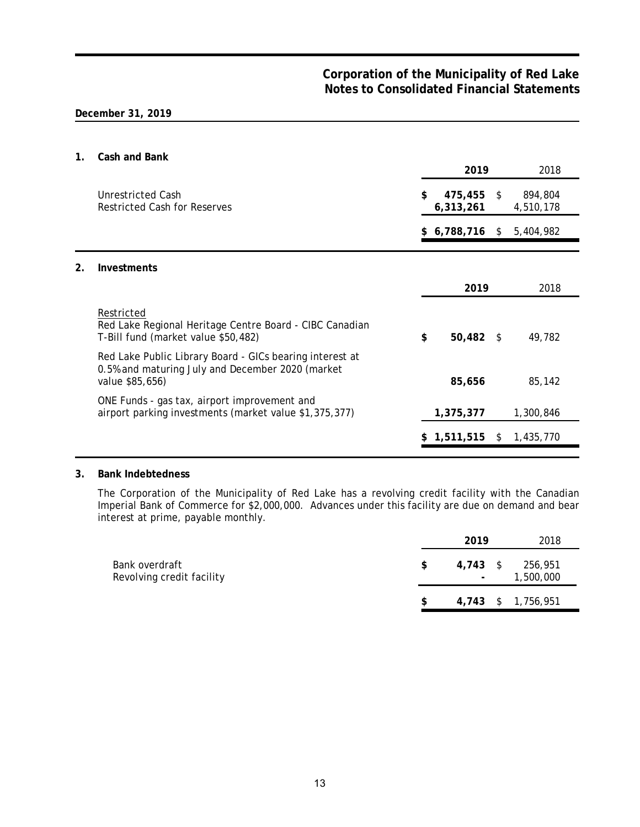#### **December 31, 2019**

#### **1. Cash and Bank**

|    |                                                                                                                                 | 2019                       |      | 2018                 |
|----|---------------------------------------------------------------------------------------------------------------------------------|----------------------------|------|----------------------|
|    | Unrestricted Cash<br>Restricted Cash for Reserves                                                                               | \$<br>475,455<br>6,313,261 | - \$ | 894,804<br>4,510,178 |
|    |                                                                                                                                 | \$6,788,716                | S.   | 5,404,982            |
| 2. | <b>Investments</b>                                                                                                              |                            |      |                      |
|    |                                                                                                                                 | 2019                       |      | 2018                 |
|    | Restricted<br>Red Lake Regional Heritage Centre Board - CIBC Canadian<br>T-Bill fund (market value \$50,482)                    | \$<br>$50,482$ \$          |      | 49,782               |
|    | Red Lake Public Library Board - GICs bearing interest at<br>0.5% and maturing July and December 2020 (market<br>value \$85,656) | 85,656                     |      | 85,142               |
|    | ONE Funds - gas tax, airport improvement and<br>airport parking investments (market value \$1,375,377)                          | 1,375,377                  |      | 1,300,846            |
|    |                                                                                                                                 | 1,511,515                  | S.   | 1,435,770            |
|    |                                                                                                                                 |                            |      |                      |

#### **3. Bank Indebtedness**

The Corporation of the Municipality of Red Lake has a revolving credit facility with the Canadian Imperial Bank of Commerce for \$2,000,000. Advances under this facility are due on demand and bear interest at prime, payable monthly.

|                                             |    | 2019 |        | 2018                          |  |
|---------------------------------------------|----|------|--------|-------------------------------|--|
| Bank overdraft<br>Revolving credit facility | S. |      | $\sim$ | 4,743 \$ 256,951<br>1,500,000 |  |
|                                             | \$ |      |        | 4,743 \$ 1,756,951            |  |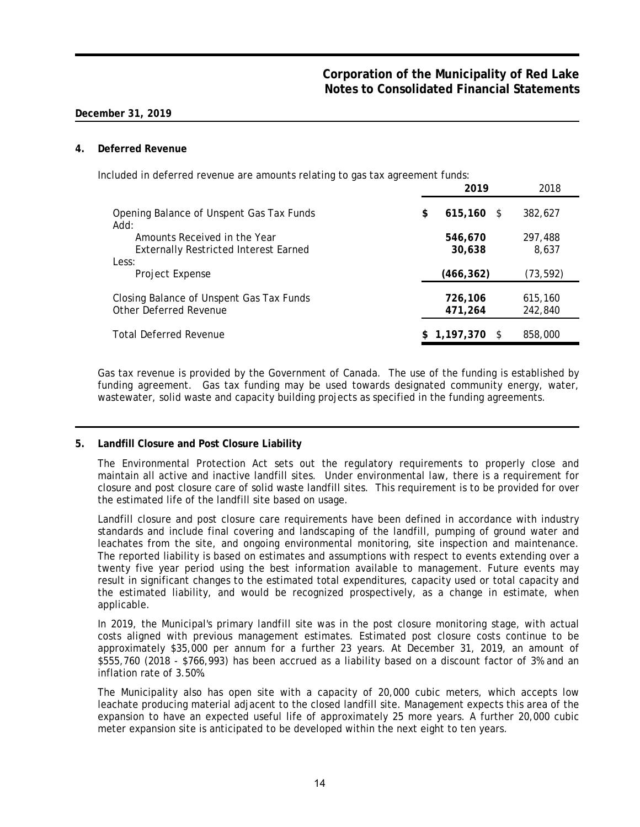**2019** 2018

#### **December 31, 2019**

#### **4. Deferred Revenue**

Included in deferred revenue are amounts relating to gas tax agreement funds:

|                                                                              | 2017               | <b>2010</b>        |
|------------------------------------------------------------------------------|--------------------|--------------------|
| Opening Balance of Unspent Gas Tax Funds<br>Add:                             | $615,160$ \$<br>\$ | 382,627            |
| Amounts Received in the Year<br><b>Externally Restricted Interest Earned</b> | 546,670<br>30,638  | 297,488<br>8.637   |
| Less:<br>Project Expense                                                     | (466, 362)         | (73, 592)          |
| Closing Balance of Unspent Gas Tax Funds<br>Other Deferred Revenue           | 726,106<br>471,264 | 615,160<br>242,840 |
| <b>Total Deferred Revenue</b>                                                | \$1,197,370        | 858,000<br>- \$    |

Gas tax revenue is provided by the Government of Canada. The use of the funding is established by funding agreement. Gas tax funding may be used towards designated community energy, water, wastewater, solid waste and capacity building projects as specified in the funding agreements.

#### **5. Landfill Closure and Post Closure Liability**

The Environmental Protection Act sets out the regulatory requirements to properly close and maintain all active and inactive landfill sites. Under environmental law, there is a requirement for closure and post closure care of solid waste landfill sites. This requirement is to be provided for over the estimated life of the landfill site based on usage.

Landfill closure and post closure care requirements have been defined in accordance with industry standards and include final covering and landscaping of the landfill, pumping of ground water and leachates from the site, and ongoing environmental monitoring, site inspection and maintenance. The reported liability is based on estimates and assumptions with respect to events extending over a twenty five year period using the best information available to management. Future events may result in significant changes to the estimated total expenditures, capacity used or total capacity and the estimated liability, and would be recognized prospectively, as a change in estimate, when applicable.

In 2019, the Municipal's primary landfill site was in the post closure monitoring stage, with actual costs aligned with previous management estimates. Estimated post closure costs continue to be approximately \$35,000 per annum for a further 23 years. At December 31, 2019, an amount of \$555,760 (2018 - \$766,993) has been accrued as a liability based on a discount factor of 3% and an inflation rate of 3.50%.

The Municipality also has open site with a capacity of 20,000 cubic meters, which accepts low leachate producing material adjacent to the closed landfill site. Management expects this area of the expansion to have an expected useful life of approximately 25 more years. A further 20,000 cubic meter expansion site is anticipated to be developed within the next eight to ten years.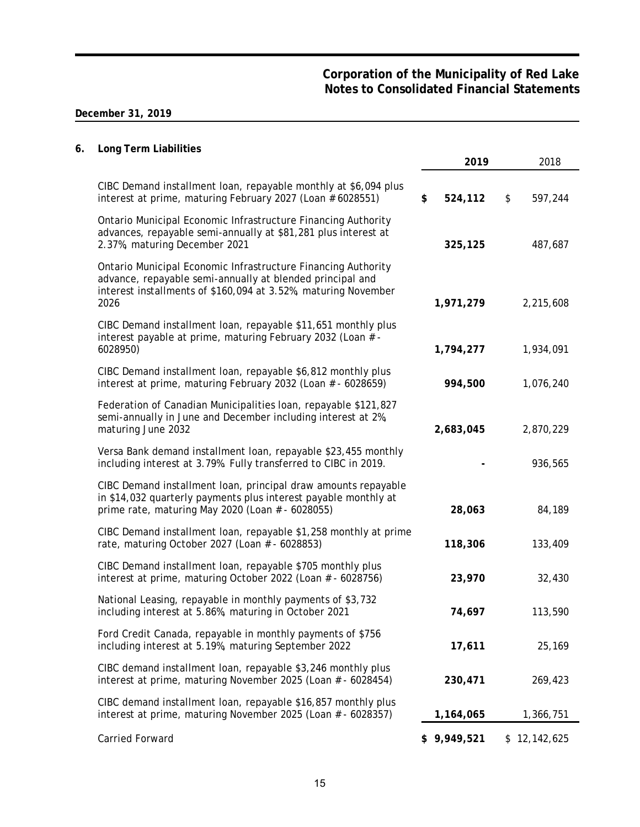#### **December 31, 2019**

## **6. Long Term Liabilities**

|                                                                                                                                                                                                      |                 | 2019 | 2018       |
|------------------------------------------------------------------------------------------------------------------------------------------------------------------------------------------------------|-----------------|------|------------|
| CIBC Demand installment loan, repayable monthly at \$6,094 plus<br>interest at prime, maturing February 2027 (Loan # 6028551)                                                                        | \$<br>524,112   | \$   | 597,244    |
| Ontario Municipal Economic Infrastructure Financing Authority<br>advances, repayable semi-annually at \$81,281 plus interest at<br>2.37%, maturing December 2021                                     | 325,125         |      | 487,687    |
| Ontario Municipal Economic Infrastructure Financing Authority<br>advance, repayable semi-annually at blended principal and<br>interest installments of \$160,094 at 3.52%, maturing November<br>2026 | 1,971,279       |      | 2,215,608  |
| CIBC Demand installment loan, repayable \$11,651 monthly plus<br>interest payable at prime, maturing February 2032 (Loan #-<br>6028950)                                                              | 1,794,277       |      | 1,934,091  |
| CIBC Demand installment loan, repayable \$6,812 monthly plus<br>interest at prime, maturing February 2032 (Loan # - 6028659)                                                                         | 994,500         |      | 1,076,240  |
| Federation of Canadian Municipalities Ioan, repayable \$121,827<br>semi-annually in June and December including interest at 2%,<br>maturing June 2032                                                | 2,683,045       |      | 2,870,229  |
| Versa Bank demand installment loan, repayable \$23,455 monthly<br>including interest at 3.79%. Fully transferred to CIBC in 2019.                                                                    |                 |      | 936,565    |
| CIBC Demand installment loan, principal draw amounts repayable<br>in \$14,032 quarterly payments plus interest payable monthly at<br>prime rate, maturing May 2020 (Loan # - 6028055)                | 28,063          |      | 84,189     |
| CIBC Demand installment loan, repayable \$1,258 monthly at prime<br>rate, maturing October 2027 (Loan # - 6028853)                                                                                   | 118,306         |      | 133,409    |
| CIBC Demand installment loan, repayable \$705 monthly plus<br>interest at prime, maturing October 2022 (Loan # - 6028756)                                                                            | 23,970          |      | 32,430     |
| National Leasing, repayable in monthly payments of \$3,732<br>including interest at 5.86%, maturing in October 2021                                                                                  | 74,697          |      | 113,590    |
| Ford Credit Canada, repayable in monthly payments of \$756<br>including interest at 5.19%, maturing September 2022                                                                                   | 17,611          |      | 25,169     |
| CIBC demand installment loan, repayable \$3,246 monthly plus<br>interest at prime, maturing November 2025 (Loan # - 6028454)                                                                         | 230,471         |      | 269,423    |
| CIBC demand installment loan, repayable \$16,857 monthly plus<br>interest at prime, maturing November 2025 (Loan # - 6028357)                                                                        | 1,164,065       |      | 1,366,751  |
| Carried Forward                                                                                                                                                                                      | 9,949,521<br>\$ |      | 12,142,625 |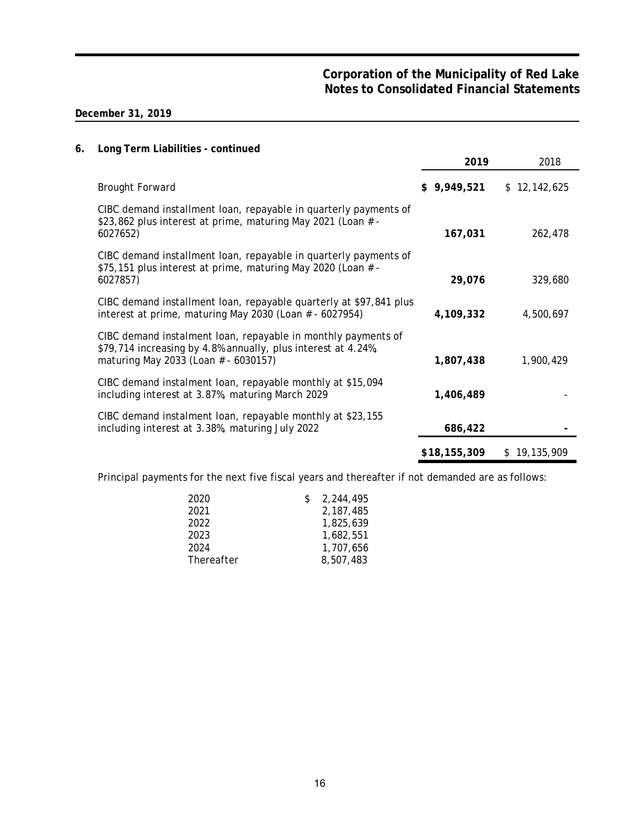#### **December 31, 2019**

| 6. | Long Term Liabilities - continued                                                                                                                                      | 2019         | 2018         |
|----|------------------------------------------------------------------------------------------------------------------------------------------------------------------------|--------------|--------------|
|    | <b>Brought Forward</b>                                                                                                                                                 | \$9,949,521  | \$12,142,625 |
|    | CIBC demand installment loan, repayable in quarterly payments of<br>\$23,862 plus interest at prime, maturing May 2021 (Loan #-<br>6027652)                            | 167,031      | 262,478      |
|    | CIBC demand installment loan, repayable in quarterly payments of<br>\$75,151 plus interest at prime, maturing May 2020 (Loan #-<br>6027857)                            | 29,076       | 329,680      |
|    | CIBC demand installment loan, repayable quarterly at \$97,841 plus<br>interest at prime, maturing May 2030 (Loan # - 6027954)                                          | 4,109,332    | 4,500,697    |
|    | CIBC demand instalment loan, repayable in monthly payments of<br>\$79,714 increasing by 4.8% annually, plus interest at 4.24%,<br>maturing May 2033 (Loan # - 6030157) | 1,807,438    | 1,900,429    |
|    | CIBC demand instalment loan, repayable monthly at \$15,094<br>including interest at 3.87%, maturing March 2029                                                         | 1,406,489    |              |
|    | CIBC demand instalment loan, repayable monthly at \$23,155<br>including interest at 3.38%, maturing July 2022                                                          | 686,422      |              |
|    |                                                                                                                                                                        | \$18,155,309 | \$19,135,909 |

Principal payments for the next five fiscal years and thereafter if not demanded are as follows:

| 2020       | 2,244,495 |
|------------|-----------|
| 2021       | 2.187.485 |
| 2022       | 1.825.639 |
| 2023       | 1.682.551 |
| 2024       | 1.707.656 |
| Thereafter | 8,507,483 |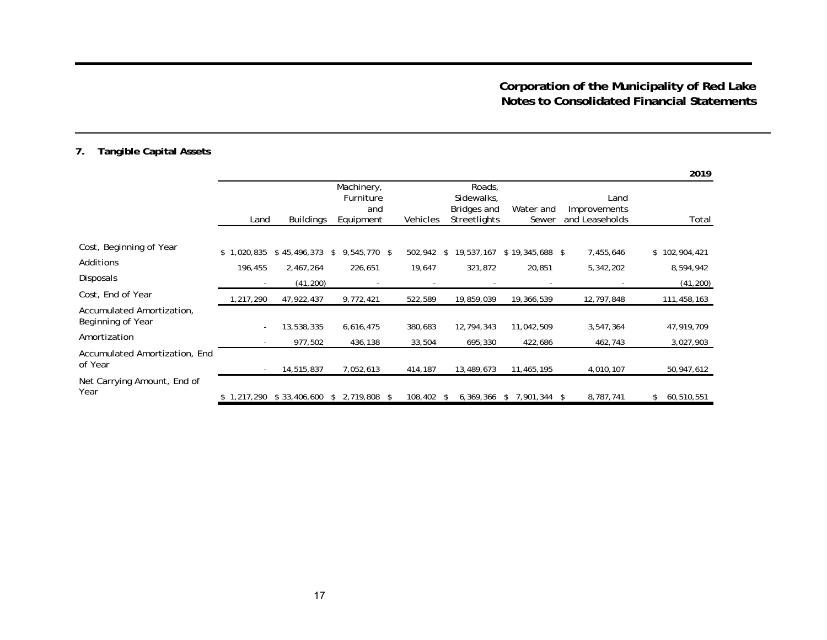## **7. Tangible Capital Assets**

|                                                |             |                  |                                             |                 |                                                            |                           |                                |      | 2019                        |
|------------------------------------------------|-------------|------------------|---------------------------------------------|-----------------|------------------------------------------------------------|---------------------------|--------------------------------|------|-----------------------------|
|                                                | Land        | <b>Buildings</b> | Machinery,<br>Furniture<br>and<br>Equipment | <b>Vehicles</b> | Roads,<br>Sidewalks.<br>Bridges and<br><b>Streetlights</b> | Water and<br>Sewer        | Improvements<br>and Leaseholds | Land | Total                       |
| Cost, Beginning of Year                        | \$1,020,835 | $$45,496,373$ \$ | 9,545,770 \$                                | 502,942 \$      | 19,537,167                                                 | $$19,345,688$ \$          | 7,455,646                      |      | \$102,904,421               |
| Additions                                      | 196,455     | 2,467,264        | 226,651                                     | 19,647          | 321,872                                                    | 20,851                    | 5,342,202                      |      | 8,594,942                   |
| Disposals                                      |             | (41, 200)        |                                             |                 |                                                            |                           |                                |      | (41, 200)                   |
| Cost, End of Year                              | 1,217,290   | 47,922,437       | 9,772,421                                   | 522,589         | 19,859,039                                                 | 19,366,539                | 12,797,848                     |      | 111,458,163                 |
| Accumulated Amortization,<br>Beginning of Year |             | 13,538,335       | 6,616,475                                   | 380,683         | 12,794,343                                                 | 11,042,509                | 3,547,364                      |      | 47,919,709                  |
| Amortization                                   |             | 977,502          | 436,138                                     | 33,504          | 695,330                                                    | 422,686                   | 462,743                        |      | 3,027,903                   |
| Accumulated Amortization, End<br>of Year       |             | 14,515,837       | 7,052,613                                   | 414,187         | 13,489,673                                                 | 11,465,195                | 4,010,107                      |      | 50,947,612                  |
| Net Carrying Amount, End of<br>Year            |             |                  | $$1,217,290$ $$33,406,600$ $$2,719,808$ $$$ | 108,402 \$      |                                                            | 6,369,366 \$ 7,901,344 \$ | 8,787,741                      |      | 60,510,551<br>$\mathcal{S}$ |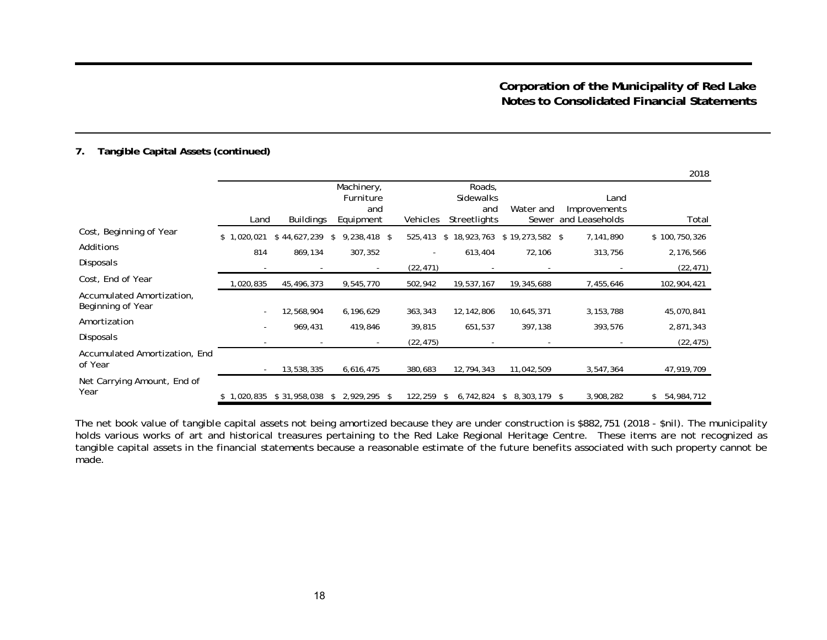#### **7. Tangible Capital Assets (continued)**

|                                                |             |                  |                                             |                 |                                                          |                           |                                        | 2018          |
|------------------------------------------------|-------------|------------------|---------------------------------------------|-----------------|----------------------------------------------------------|---------------------------|----------------------------------------|---------------|
|                                                | Land        | <b>Buildings</b> | Machinery,<br>Furniture<br>and<br>Equipment | <b>Vehicles</b> | Roads,<br><b>Sidewalks</b><br>and<br><b>Streetlights</b> | Water and<br>Sewer        | Land<br>Improvements<br>and Leaseholds | Total         |
| Cost, Beginning of Year                        | \$1,020,021 | \$44,627,239     | 9,238,418 \$<br>\$                          | 525,413         | 18,923,763<br>S.                                         | $$19,273,582$ \$          | 7,141,890                              | \$100,750,326 |
| Additions                                      | 814         | 869,134          | 307,352                                     |                 | 613,404                                                  | 72,106                    | 313,756                                | 2,176,566     |
| Disposals                                      |             |                  |                                             | (22, 471)       |                                                          |                           |                                        | (22, 471)     |
| Cost, End of Year                              | 1,020,835   | 45,496,373       | 9,545,770                                   | 502,942         | 19,537,167                                               | 19,345,688                | 7,455,646                              | 102,904,421   |
| Accumulated Amortization,<br>Beginning of Year |             | 12,568,904       | 6,196,629                                   | 363,343         | 12,142,806                                               | 10,645,371                | 3, 153, 788                            | 45,070,841    |
| Amortization                                   |             | 969,431          | 419,846                                     | 39,815          | 651,537                                                  | 397,138                   | 393,576                                | 2,871,343     |
| Disposals                                      |             |                  |                                             | (22, 475)       |                                                          |                           |                                        | (22, 475)     |
| Accumulated Amortization, End<br>of Year       |             | 13,538,335       | 6,616,475                                   | 380,683         | 12,794,343                                               | 11,042,509                | 3,547,364                              | 47,919,709    |
| Net Carrying Amount, End of<br>Year            |             |                  | $$1,020,835$ $$31,958,038$ $$2,929,295$ $$$ | $122.259$ \$    |                                                          | 6,742,824 \$ 8,303,179 \$ | 3,908,282                              | \$54,984,712  |

The net book value of tangible capital assets not being amortized because they are under construction is \$882,751 (2018 - \$nil). The municipality holds various works of art and historical treasures pertaining to the Red Lake Regional Heritage Centre. These items are not recognized as tangible capital assets in the financial statements because a reasonable estimate of the future benefits associated with such property cannot be made.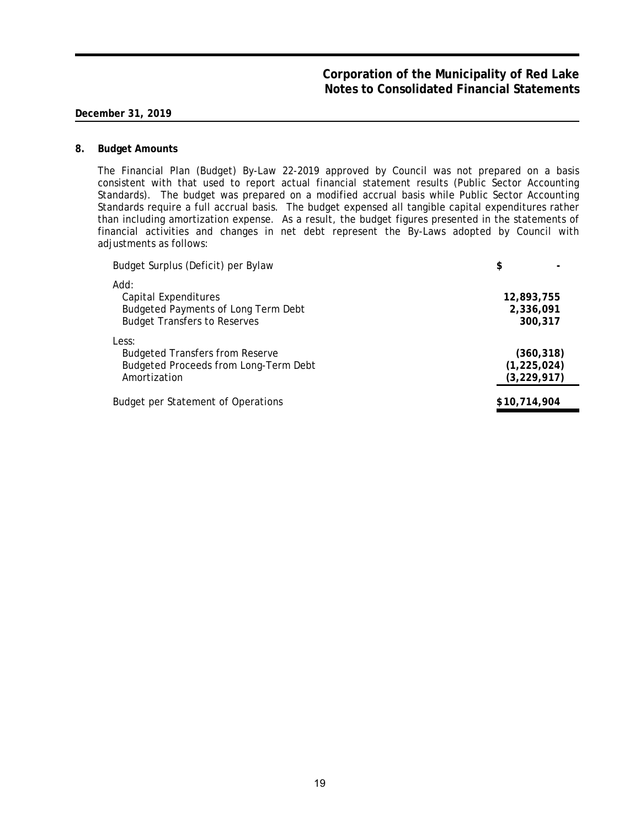#### **8. Budget Amounts**

The Financial Plan (Budget) By-Law 22-2019 approved by Council was not prepared on a basis consistent with that used to report actual financial statement results (Public Sector Accounting Standards). The budget was prepared on a modified accrual basis while Public Sector Accounting Standards require a full accrual basis. The budget expensed all tangible capital expenditures rather than including amortization expense. As a result, the budget figures presented in the statements of financial activities and changes in net debt represent the By-Laws adopted by Council with adjustments as follows:

| Add:<br>Capital Expenditures                                                                             | 12,893,755                                   |  |
|----------------------------------------------------------------------------------------------------------|----------------------------------------------|--|
| Budgeted Payments of Long Term Debt<br><b>Budget Transfers to Reserves</b>                               | 2,336,091<br>300,317                         |  |
| Less:<br><b>Budgeted Transfers from Reserve</b><br>Budgeted Proceeds from Long-Term Debt<br>Amortization | (360, 318)<br>(1, 225, 024)<br>(3, 229, 917) |  |
| Budget per Statement of Operations                                                                       | \$10,714,904                                 |  |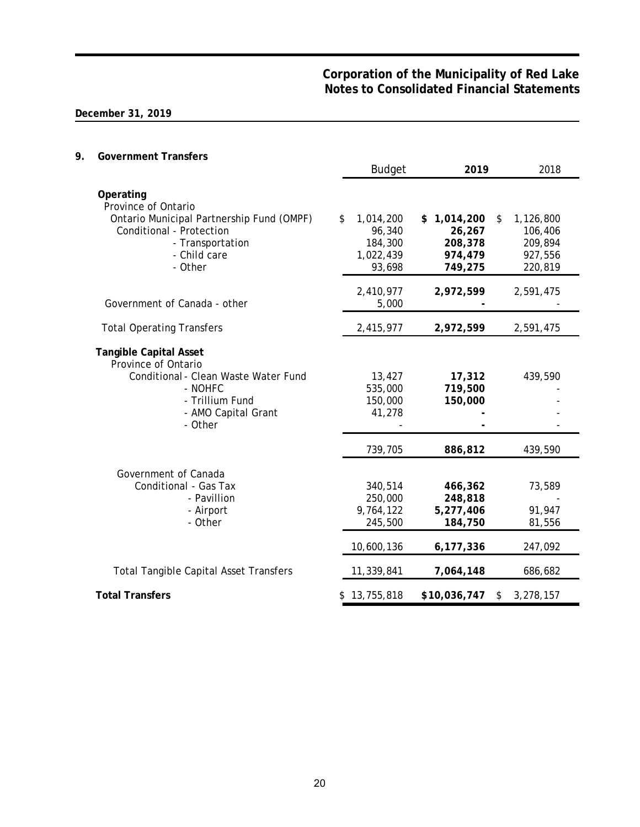## **December 31, 2019**

| 9.<br><b>Government Transfers</b>             |                  |                 |                 |
|-----------------------------------------------|------------------|-----------------|-----------------|
|                                               | <b>Budget</b>    | 2019            | 2018            |
| Operating                                     |                  |                 |                 |
| Province of Ontario                           |                  |                 |                 |
| Ontario Municipal Partnership Fund (OMPF)     | \$<br>1,014,200  | 1,014,200<br>\$ | 1,126,800<br>\$ |
| Conditional - Protection                      | 96,340           | 26,267          | 106,406         |
| - Transportation                              | 184,300          | 208,378         | 209,894         |
| - Child care                                  | 1,022,439        | 974,479         | 927,556         |
| - Other                                       |                  |                 |                 |
|                                               | 93,698           | 749,275         | 220,819         |
|                                               | 2,410,977        | 2,972,599       | 2,591,475       |
| Government of Canada - other                  | 5,000            |                 |                 |
|                                               |                  |                 |                 |
| <b>Total Operating Transfers</b>              | 2,415,977        | 2,972,599       | 2,591,475       |
| <b>Tangible Capital Asset</b>                 |                  |                 |                 |
| Province of Ontario                           |                  |                 |                 |
| Conditional - Clean Waste Water Fund          | 13,427           | 17,312          | 439,590         |
| - NOHFC                                       | 535,000          | 719,500         |                 |
| - Trillium Fund                               | 150,000          | 150,000         |                 |
|                                               |                  |                 |                 |
| - AMO Capital Grant<br>- Other                | 41,278           |                 |                 |
|                                               |                  |                 |                 |
|                                               | 739,705          | 886,812         | 439,590         |
| Government of Canada                          |                  |                 |                 |
| Conditional - Gas Tax                         | 340,514          | 466,362         | 73,589          |
| - Pavillion                                   | 250,000          | 248,818         |                 |
| - Airport                                     | 9,764,122        | 5,277,406       | 91,947          |
| - Other                                       | 245,500          | 184,750         | 81,556          |
|                                               |                  |                 |                 |
|                                               | 10,600,136       | 6,177,336       | 247,092         |
| <b>Total Tangible Capital Asset Transfers</b> | 11,339,841       | 7,064,148       | 686,682         |
| <b>Total Transfers</b>                        | \$<br>13,755,818 | \$10,036,747    | \$<br>3,278,157 |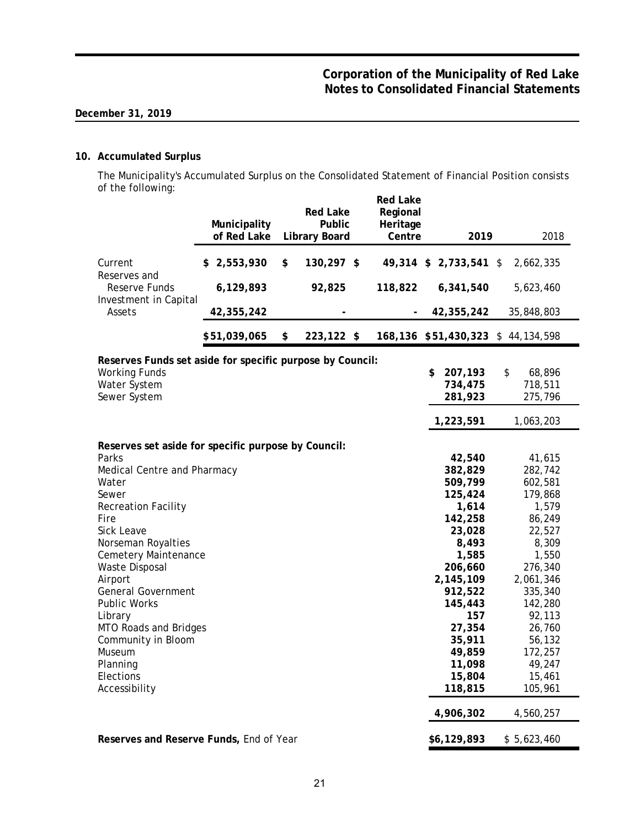## **10. Accumulated Surplus**

The Municipality's Accumulated Surplus on the Consolidated Statement of Financial Position consists of the following: **Red Lake**

|                                                                                                                                                                                                                                                                                                                                                                                                                                                                                                                                                                                                                                                                                                                                                                                                                                                         | <b>Municipality</b><br>of Red Lake |    | <b>Red Lake</b><br>Public<br><b>Library Board</b> | кеа саке<br>Regional<br>Heritage<br>Centre | 2019                   | 2018                              |  |  |
|---------------------------------------------------------------------------------------------------------------------------------------------------------------------------------------------------------------------------------------------------------------------------------------------------------------------------------------------------------------------------------------------------------------------------------------------------------------------------------------------------------------------------------------------------------------------------------------------------------------------------------------------------------------------------------------------------------------------------------------------------------------------------------------------------------------------------------------------------------|------------------------------------|----|---------------------------------------------------|--------------------------------------------|------------------------|-----------------------------------|--|--|
| Current                                                                                                                                                                                                                                                                                                                                                                                                                                                                                                                                                                                                                                                                                                                                                                                                                                                 | \$2,553,930                        | \$ | 130,297 \$                                        |                                            | 49,314 \$ 2,733,541 \$ | 2,662,335                         |  |  |
| Reserves and<br>Reserve Funds<br>Investment in Capital                                                                                                                                                                                                                                                                                                                                                                                                                                                                                                                                                                                                                                                                                                                                                                                                  | 6,129,893                          |    | 92,825                                            | 118,822                                    | 6,341,540              | 5,623,460                         |  |  |
| Assets                                                                                                                                                                                                                                                                                                                                                                                                                                                                                                                                                                                                                                                                                                                                                                                                                                                  | 42,355,242                         |    |                                                   |                                            | 42,355,242             | 35,848,803                        |  |  |
|                                                                                                                                                                                                                                                                                                                                                                                                                                                                                                                                                                                                                                                                                                                                                                                                                                                         | \$51,039,065                       | \$ | 223,122 \$                                        |                                            |                        | 168,136 \$51,430,323 \$44,134,598 |  |  |
| Reserves Funds set aside for specific purpose by Council:<br>\$<br>207,193<br>\$<br>68,896<br><b>Working Funds</b><br>Water System<br>734,475<br>718,511<br>Sewer System<br>281,923<br>275,796                                                                                                                                                                                                                                                                                                                                                                                                                                                                                                                                                                                                                                                          |                                    |    |                                                   |                                            |                        |                                   |  |  |
|                                                                                                                                                                                                                                                                                                                                                                                                                                                                                                                                                                                                                                                                                                                                                                                                                                                         |                                    |    |                                                   |                                            |                        |                                   |  |  |
| 1,063,203<br>1,223,591<br>Reserves set aside for specific purpose by Council:<br>42,540<br>Parks<br>41,615<br>382,829<br>282,742<br>Medical Centre and Pharmacy<br>509,799<br>602,581<br>Water<br>125,424<br>179,868<br>Sewer<br>1,614<br>1,579<br><b>Recreation Facility</b><br>142,258<br>Fire<br>86,249<br>Sick Leave<br>23,028<br>22,527<br>8,493<br>8,309<br>Norseman Royalties<br>1,585<br>1,550<br>Cemetery Maintenance<br>206,660<br>276,340<br>Waste Disposal<br>2,061,346<br>Airport<br>2,145,109<br>General Government<br>912,522<br>335,340<br>Public Works<br>145,443<br>142,280<br>157<br>92,113<br>Library<br>MTO Roads and Bridges<br>27,354<br>26,760<br>35,911<br>Community in Bloom<br>56,132<br>49,859<br>Museum<br>172,257<br>11,098<br>49,247<br>Planning<br>15,804<br>Elections<br>15,461<br>Accessibility<br>118,815<br>105,961 |                                    |    |                                                   |                                            |                        |                                   |  |  |
|                                                                                                                                                                                                                                                                                                                                                                                                                                                                                                                                                                                                                                                                                                                                                                                                                                                         |                                    |    |                                                   |                                            | 4,906,302              | 4,560,257                         |  |  |
| Reserves and Reserve Funds, End of Year                                                                                                                                                                                                                                                                                                                                                                                                                                                                                                                                                                                                                                                                                                                                                                                                                 |                                    |    |                                                   |                                            | \$6,129,893            | \$5,623,460                       |  |  |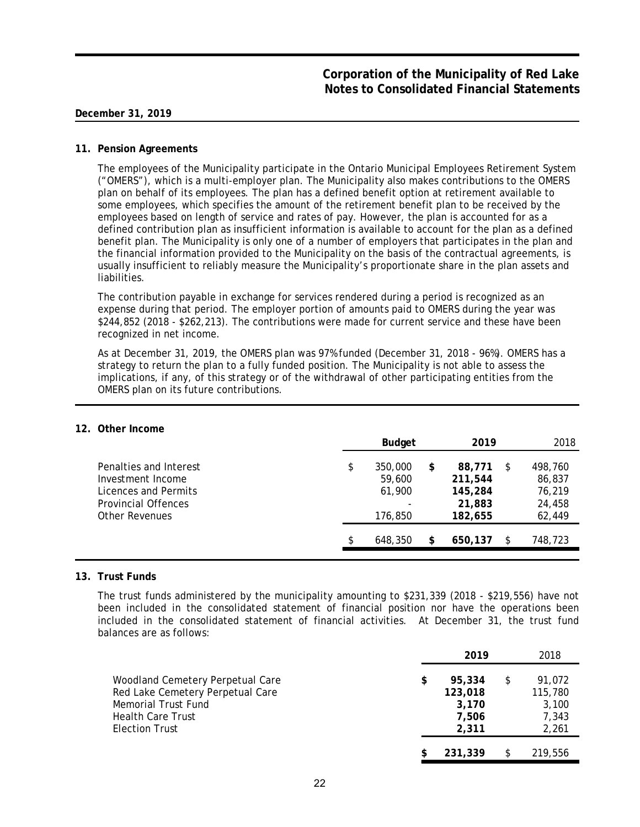#### **11. Pension Agreements**

The employees of the Municipality participate in the Ontario Municipal Employees Retirement System ("OMERS"), which is a multi-employer plan. The Municipality also makes contributions to the OMERS plan on behalf of its employees. The plan has a defined benefit option at retirement available to some employees, which specifies the amount of the retirement benefit plan to be received by the employees based on length of service and rates of pay. However, the plan is accounted for as a defined contribution plan as insufficient information is available to account for the plan as a defined benefit plan. The Municipality is only one of a number of employers that participates in the plan and the financial information provided to the Municipality on the basis of the contractual agreements, is usually insufficient to reliably measure the Municipality's proportionate share in the plan assets and liabilities.

The contribution payable in exchange for services rendered during a period is recognized as an expense during that period. The employer portion of amounts paid to OMERS during the year was \$244,852 (2018 - \$262,213). The contributions were made for current service and these have been recognized in net income.

As at December 31, 2019, the OMERS plan was 97% funded (December 31, 2018 - 96%). OMERS has a strategy to return the plan to a fully funded position. The Municipality is not able to assess the implications, if any, of this strategy or of the withdrawal of other participating entities from the OMERS plan on its future contributions.

#### **12. Other Income**

|                                                                                                              | <b>Budget</b>                                     | 2019                                                    | 2018 |                                                 |
|--------------------------------------------------------------------------------------------------------------|---------------------------------------------------|---------------------------------------------------------|------|-------------------------------------------------|
| Penalties and Interest<br>Investment Income<br>Licences and Permits<br>Provincial Offences<br>Other Revenues | \$<br>350,000<br>59,600<br>61,900<br>-<br>176,850 | \$<br>88,771<br>211,544<br>145,284<br>21,883<br>182,655 | \$.  | 498,760<br>86,837<br>76,219<br>24,458<br>62,449 |
|                                                                                                              | \$<br>648,350                                     | \$<br>650,137                                           |      | 748,723                                         |

#### **13. Trust Funds**

The trust funds administered by the municipality amounting to \$231,339 (2018 - \$219,556) have not been included in the consolidated statement of financial position nor have the operations been included in the consolidated statement of financial activities. At December 31, the trust fund balances are as follows:

|                                                                                                                                           | 2019                                               | 2018                                         |
|-------------------------------------------------------------------------------------------------------------------------------------------|----------------------------------------------------|----------------------------------------------|
| Woodland Cemetery Perpetual Care<br>Red Lake Cemetery Perpetual Care<br>Memorial Trust Fund<br>Health Care Trust<br><b>Election Trust</b> | \$<br>95,334<br>123,018<br>3,170<br>7,506<br>2,311 | 91,072<br>115,780<br>3,100<br>7,343<br>2,261 |
|                                                                                                                                           | 231,339                                            | 219,556                                      |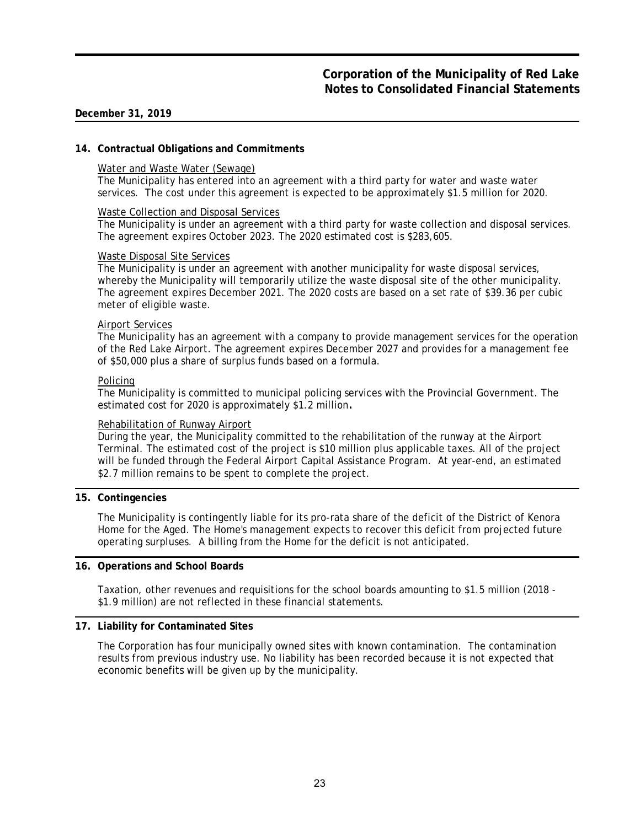#### **14. Contractual Obligations and Commitments**

#### Water and Waste Water (Sewage)

The Municipality has entered into an agreement with a third party for water and waste water services. The cost under this agreement is expected to be approximately \$1.5 million for 2020.

#### Waste Collection and Disposal Services

The Municipality is under an agreement with a third party for waste collection and disposal services. The agreement expires October 2023. The 2020 estimated cost is \$283,605.

#### Waste Disposal Site Services

The Municipality is under an agreement with another municipality for waste disposal services, whereby the Municipality will temporarily utilize the waste disposal site of the other municipality. The agreement expires December 2021. The 2020 costs are based on a set rate of \$39.36 per cubic meter of eligible waste.

#### Airport Services

The Municipality has an agreement with a company to provide management services for the operation of the Red Lake Airport. The agreement expires December 2027 and provides for a management fee of \$50,000 plus a share of surplus funds based on a formula.

#### Policing

The Municipality is committed to municipal policing services with the Provincial Government. The estimated cost for 2020 is approximately \$1.2 million**.**

#### Rehabilitation of Runway Airport

During the year, the Municipality committed to the rehabilitation of the runway at the Airport Terminal. The estimated cost of the project is \$10 million plus applicable taxes. All of the project will be funded through the Federal Airport Capital Assistance Program. At year-end, an estimated \$2.7 million remains to be spent to complete the project.

#### **15. Contingencies**

The Municipality is contingently liable for its pro-rata share of the deficit of the District of Kenora Home for the Aged. The Home's management expects to recover this deficit from projected future operating surpluses. A billing from the Home for the deficit is not anticipated.

#### **16. Operations and School Boards**

Taxation, other revenues and requisitions for the school boards amounting to \$1.5 million (2018 - \$1.9 million) are not reflected in these financial statements.

#### **17. Liability for Contaminated Sites**

The Corporation has four municipally owned sites with known contamination. The contamination results from previous industry use. No liability has been recorded because it is not expected that economic benefits will be given up by the municipality.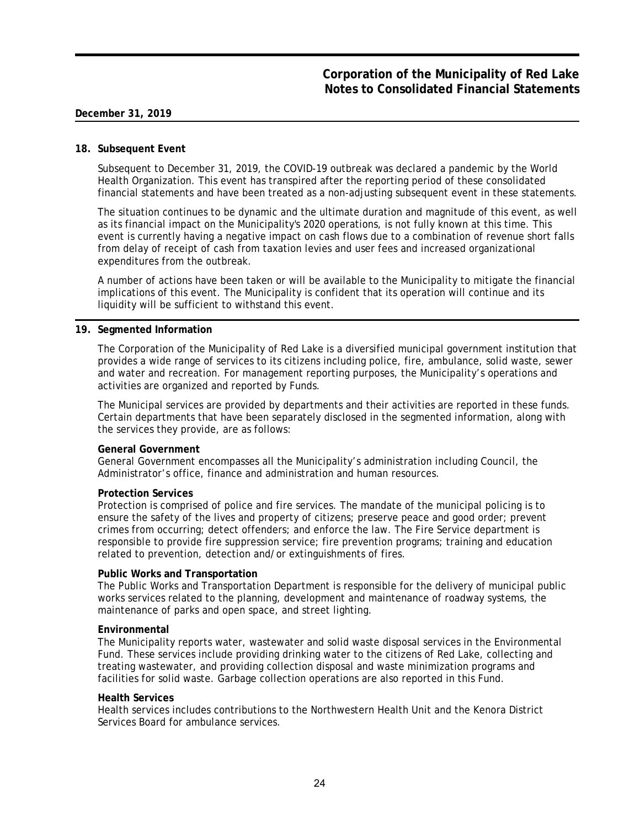#### **18. Subsequent Event**

Subsequent to December 31, 2019, the COVID-19 outbreak was declared a pandemic by the World Health Organization. This event has transpired after the reporting period of these consolidated financial statements and have been treated as a non-adjusting subsequent event in these statements.

The situation continues to be dynamic and the ultimate duration and magnitude of this event, as well as its financial impact on the Municipality's 2020 operations, is not fully known at this time. This event is currently having a negative impact on cash flows due to a combination of revenue short falls from delay of receipt of cash from taxation levies and user fees and increased organizational expenditures from the outbreak.

A number of actions have been taken or will be available to the Municipality to mitigate the financial implications of this event. The Municipality is confident that its operation will continue and its liquidity will be sufficient to withstand this event.

#### **19. Segmented Information**

The Corporation of the Municipality of Red Lake is a diversified municipal government institution that provides a wide range of services to its citizens including police, fire, ambulance, solid waste, sewer and water and recreation. For management reporting purposes, the Municipality's operations and activities are organized and reported by Funds.

The Municipal services are provided by departments and their activities are reported in these funds. Certain departments that have been separately disclosed in the segmented information, along with the services they provide, are as follows:

#### **General Government**

General Government encompasses all the Municipality's administration including Council, the Administrator's office, finance and administration and human resources.

#### **Protection Services**

Protection is comprised of police and fire services. The mandate of the municipal policing is to ensure the safety of the lives and property of citizens; preserve peace and good order; prevent crimes from occurring; detect offenders; and enforce the law. The Fire Service department is responsible to provide fire suppression service; fire prevention programs; training and education related to prevention, detection and/or extinguishments of fires.

#### **Public Works and Transportation**

The Public Works and Transportation Department is responsible for the delivery of municipal public works services related to the planning, development and maintenance of roadway systems, the maintenance of parks and open space, and street lighting.

#### **Environmental**

The Municipality reports water, wastewater and solid waste disposal services in the Environmental Fund. These services include providing drinking water to the citizens of Red Lake, collecting and treating wastewater, and providing collection disposal and waste minimization programs and facilities for solid waste. Garbage collection operations are also reported in this Fund.

#### **Health Services**

Health services includes contributions to the Northwestern Health Unit and the Kenora District Services Board for ambulance services.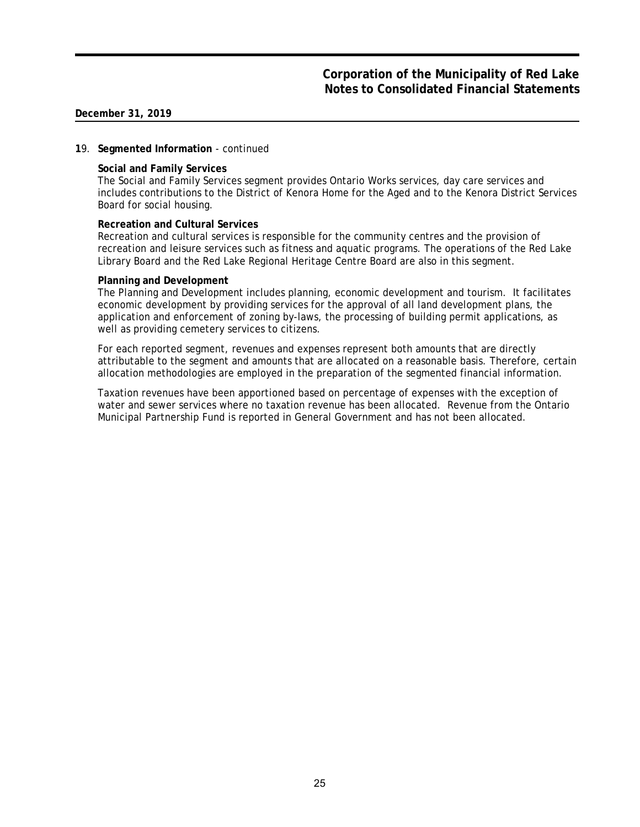#### **1**9. **Segmented Information** - continued

#### **Social and Family Services**

The Social and Family Services segment provides Ontario Works services, day care services and includes contributions to the District of Kenora Home for the Aged and to the Kenora District Services Board for social housing.

#### **Recreation and Cultural Services**

Recreation and cultural services is responsible for the community centres and the provision of recreation and leisure services such as fitness and aquatic programs. The operations of the Red Lake Library Board and the Red Lake Regional Heritage Centre Board are also in this segment.

#### **Planning and Development**

The Planning and Development includes planning, economic development and tourism. It facilitates economic development by providing services for the approval of all land development plans, the application and enforcement of zoning by-laws, the processing of building permit applications, as well as providing cemetery services to citizens.

For each reported segment, revenues and expenses represent both amounts that are directly attributable to the segment and amounts that are allocated on a reasonable basis. Therefore, certain allocation methodologies are employed in the preparation of the segmented financial information.

Taxation revenues have been apportioned based on percentage of expenses with the exception of water and sewer services where no taxation revenue has been allocated. Revenue from the Ontario Municipal Partnership Fund is reported in General Government and has not been allocated.